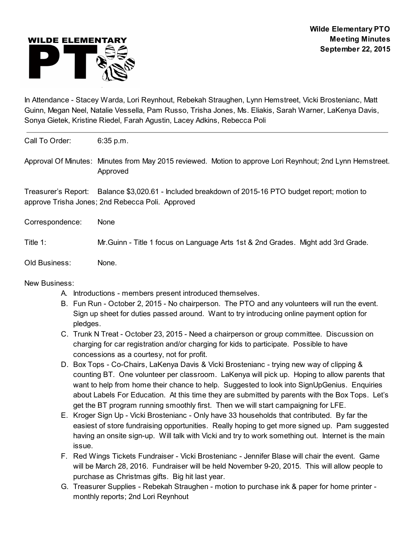

In Attendance - Stacey Warda, Lori Reynhout, Rebekah Straughen, Lynn Hemstreet, Vicki Brostenianc, Matt Guinn, Megan Neel, Natalie Vessella, Pam Russo, Trisha Jones, Ms. Eliakis, Sarah Warner, LaKenya Davis, Sonya Gietek, Kristine Riedel, Farah Agustin, Lacey Adkins, Rebecca Poli

Call To Order: 6:35 p.m.

Approval Of Minutes: Minutes from May 2015 reviewed. Motion to approve Lori Reynhout; 2nd Lynn Hemstreet. Approved

Treasurer's Report: Balance \$3,020.61 - Included breakdown of 2015-16 PTO budget report; motion to approve Trisha Jones; 2nd Rebecca Poli. Approved

Correspondence: None

Title 1: Mr.Guinn - Title 1 focus on Language Arts 1st & 2nd Grades. Might add 3rd Grade.

Old Business: None.

New Business:

- A. Introductions members present introduced themselves.
- B. Fun Run October 2, 2015 No chairperson. The PTO and any volunteers will run the event. Sign up sheet for duties passed around. Want to try introducing online payment option for pledges.
- C. Trunk N Treat October 23, 2015 Need a chairperson or group committee. Discussion on charging for car registration and/or charging for kids to participate. Possible to have concessions as a courtesy, not for profit.
- D. Box Tops Co-Chairs, LaKenya Davis & Vicki Brostenianc trying new way of clipping & counting BT. One volunteer per classroom. LaKenya will pick up. Hoping to allow parents that want to help from home their chance to help. Suggested to look into SignUpGenius. Enquiries about Labels For Education. At this time they are submitted by parents with the Box Tops. Let's get the BT program running smoothly first. Then we will start campaigning for LFE.
- E. Kroger Sign Up Vicki Brostenianc Only have 33 households that contributed. By far the easiest of store fundraising opportunities. Really hoping to get more signed up. Pam suggested having an onsite sign-up. Will talk with Vicki and try to work something out. Internet is the main issue.
- F. Red Wings Tickets Fundraiser Vicki Brostenianc Jennifer Blase will chair the event. Game will be March 28, 2016. Fundraiser will be held November 9-20, 2015. This will allow people to purchase as Christmas gifts. Big hit last year.
- G. Treasurer Supplies Rebekah Straughen motion to purchase ink & paper for home printer monthly reports; 2nd Lori Reynhout